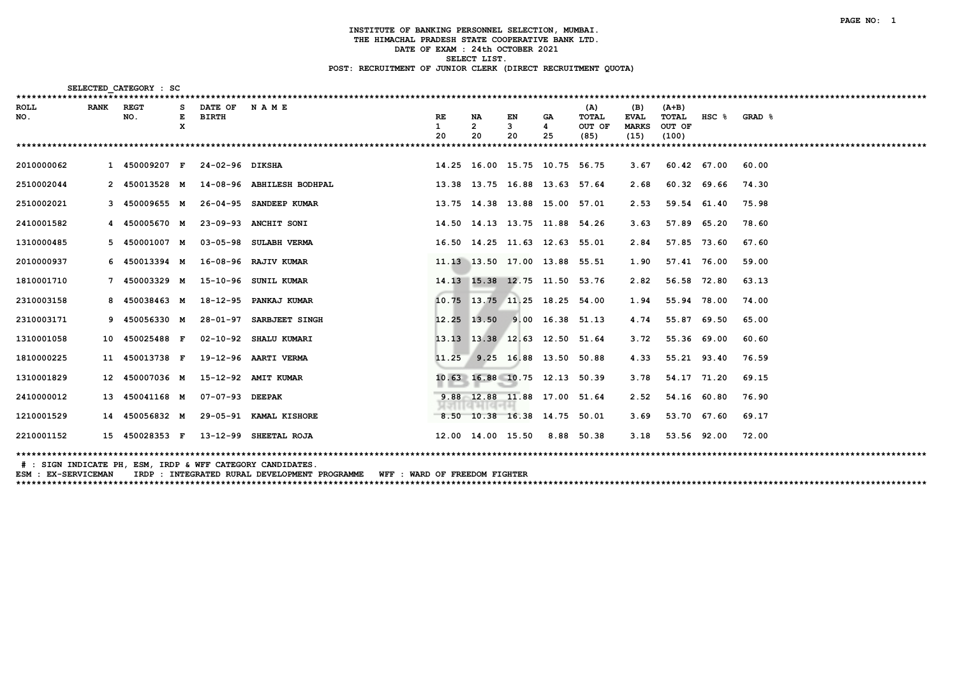| SELECTED CATEGORY : SC                                  |             |                     |   |                              |                           |               |                   |                                 |                |                                |                                            |                                   |             |        |
|---------------------------------------------------------|-------------|---------------------|---|------------------------------|---------------------------|---------------|-------------------|---------------------------------|----------------|--------------------------------|--------------------------------------------|-----------------------------------|-------------|--------|
| *********************************<br><b>ROLL</b><br>NO. | <b>RANK</b> | <b>REGT</b><br>NO.  | x | DATE OF NAME<br><b>BIRTH</b> |                           | RE<br>1<br>20 | NA<br>2<br>20     | EN<br>3<br>20                   | GA.<br>4<br>25 | (A)<br>TOTAL<br>OUT OF<br>(85) | (B)<br><b>EVAL</b><br><b>MARKS</b><br>(15) | (A+B)<br>TOTAL<br>OUT OF<br>(100) | $HSC$ $%$   | GRAD & |
|                                                         |             |                     |   |                              |                           |               |                   |                                 |                |                                |                                            |                                   |             |        |
| 2010000062                                              |             | 1 450009207 F       |   | 24-02-96 DIKSHA              |                           |               |                   | 14.25 16.00 15.75 10.75 56.75   |                |                                | 3.67                                       | 60.42 67.00                       |             | 60.00  |
| 2510002044                                              |             | 2 450013528 M       |   |                              | 14-08-96 ABHILESH BODHPAL |               |                   | 13.38 13.75 16.88 13.63 57.64   |                |                                | 2.68                                       | 60.32 69.66                       |             | 74.30  |
| 2510002021                                              |             | 3 450009655 M       |   |                              | 26-04-95 SANDEEP KUMAR    |               |                   | 13.75 14.38 13.88 15.00 57.01   |                |                                | 2.53                                       | 59.54 61.40                       |             | 75.98  |
| 2410001582                                              |             | 4 450005670 M       |   |                              | 23-09-93 ANCHIT SONI      |               |                   | 14.50 14.13 13.75 11.88 54.26   |                |                                | 3.63                                       | 57.89 65.20                       |             | 78.60  |
| 1310000485                                              |             | 5    450001007    M |   |                              | 03-05-98 SULABH VERMA     |               |                   | 16.50 14.25 11.63 12.63 55.01   |                |                                | 2.84                                       |                                   | 57.85 73.60 | 67.60  |
| 2010000937                                              |             | 6 450013394 M       |   |                              | 16-08-96 RAJIV KUMAR      |               |                   | 11.13 13.50 17.00 13.88 55.51   |                |                                | 1.90                                       | 57.41 76.00                       |             | 59.00  |
| 1810001710                                              |             | 7 450003329 M       |   |                              | 15-10-96 SUNIL KUMAR      |               |                   | 14.13 15.38 12.75 11.50 53.76   |                |                                | 2.82                                       | 56.58 72.80                       |             | 63.13  |
| 2310003158                                              |             | 8 450038463 M       |   |                              | 18-12-95 PANKAJ KUMAR     |               |                   | 10.75 13.75 11.25 18.25 54.00   |                |                                | 1.94                                       | 55.94 78.00                       |             | 74.00  |
| 2310003171                                              |             | 9 450056330 M       |   |                              | 28-01-97 SARBJEET SINGH   |               |                   | 12.25 13.50 9.00 16.38 51.13    |                |                                | 4.74                                       | 55.87 69.50                       |             | 65.00  |
| 1310001058                                              |             | 10 450025488 F      |   |                              | 02-10-92 SHALU KUMARI     |               |                   | 13.13 13.38 12.63 12.50 51.64   |                |                                | 3.72                                       | 55.36 69.00                       |             | 60.60  |
| 1810000225                                              |             | 11 450013738 F      |   |                              | 19-12-96 AARTI VERMA      |               |                   | 11.25 9.25 16.88 13.50 50.88    |                |                                | 4.33                                       | 55.21 93.40                       |             | 76.59  |
| 1310001829                                              |             | 12 450007036 M      |   |                              | 15-12-92 AMIT KUMAR       |               |                   | 10.63 16.88 10.75 12.13 50.39   |                |                                | 3.78                                       | 54.17 71.20                       |             | 69.15  |
| 2410000012                                              |             | 450041168 M         |   | 07-07-93 DEEPAK              |                           |               |                   | 9.88 12.88 11.88 17.00 51.64    |                |                                | 2.52                                       | 54.16 60.80                       |             | 76.90  |
| 1210001529                                              |             | 450056832 M         |   |                              | 29-05-91 KAMAL KISHORE    |               |                   | $-8.50$ 10.38 16.38 14.75 50.01 |                |                                | 3.69                                       | 53.70 67.60                       |             | 69.17  |
| 2210001152                                              |             | 15 450028353 F      |   |                              | 13-12-99 SHEETAL ROJA     |               | 12.00 14.00 15.50 |                                 |                | 8.88 50.38                     | 3.18                                       | 53.56 92.00                       |             | 72.00  |
|                                                         |             |                     |   |                              |                           |               |                   |                                 |                |                                |                                            |                                   |             |        |

# : SIGN INDICATE PH, ESM, IRDP & WFF CATEGORY CANDIDATES.

ESM : EX-SERVICEMAN IRDP : INTEGRATED RURAL DEVELOPMENT PROGRAMME WFF : WARD OF FREEDOM FIGHTER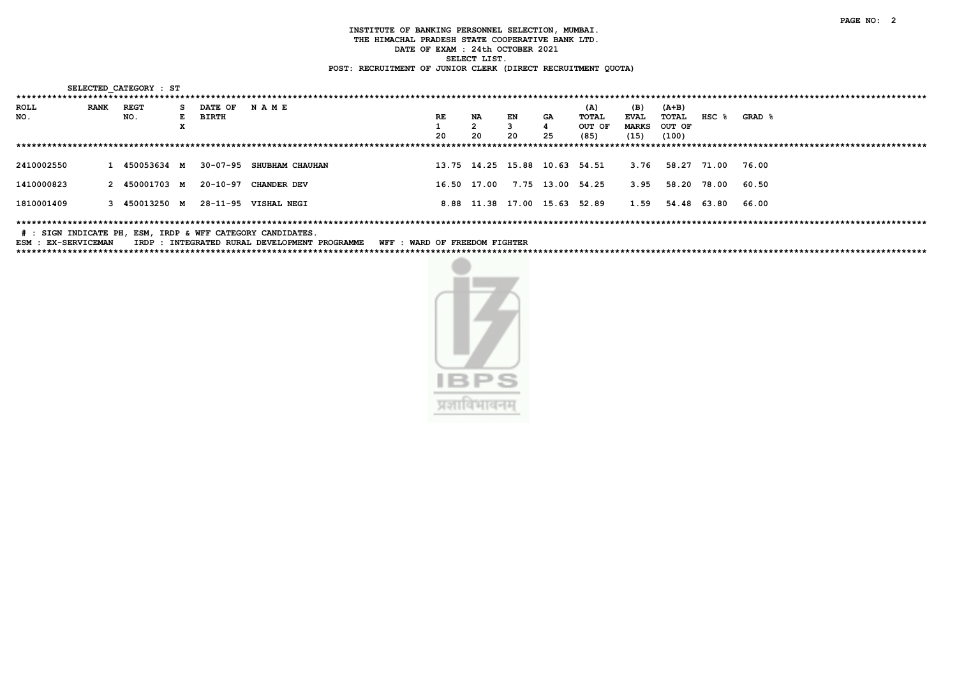| SELECTED CATEGORY : ST              |             |               |    |              |                      |    |             |    |                               |        |              |         |           |        |
|-------------------------------------|-------------|---------------|----|--------------|----------------------|----|-------------|----|-------------------------------|--------|--------------|---------|-----------|--------|
| *********************************** |             |               |    |              |                      |    |             |    |                               |        |              |         |           |        |
| <b>ROLL</b>                         | <b>RANK</b> | <b>REGT</b>   | s. | DATE OF      | NAME                 |    |             |    |                               | (A)    | (B)          | $(A+B)$ |           |        |
| NO.                                 |             | NO.           | E. | <b>BIRTH</b> |                      | RE | <b>NA</b>   | EN | GA                            | TOTAL  | <b>EVAL</b>  | TOTAL   | $HSC$ $%$ | GRAD & |
|                                     |             |               | А. |              |                      |    |             |    |                               | OUT OF | <b>MARKS</b> | OUT OF  |           |        |
|                                     |             |               |    |              |                      | 20 | 20          | 20 | 25                            | (85)   | (15)         | (100)   |           |        |
|                                     |             |               |    |              |                      |    |             |    |                               |        |              |         |           |        |
| 2410002550                          |             | 1 450053634 M |    | 30-07-95     | SHUBHAM CHAUHAN      |    |             |    | 13.75 14.25 15.88 10.63 54.51 |        | 3.76         | 58.27   | 71.00     | 76.00  |
|                                     |             |               |    |              |                      |    |             |    |                               |        |              |         |           |        |
| 1410000823                          |             | 2 450001703 M |    | 20-10-97     | CHANDER DEV          |    | 16.50 17.00 |    | 7.75 13.00                    | 54.25  | 3.95         | 58.20   | 78.00     | 60.50  |
| 1810001409                          |             | 3 450013250 M |    |              | 28-11-95 VISHAL NEGI |    |             |    | 8.88 11.38 17.00 15.63 52.89  |        | 1.59         | 54.48   | 63.80     | 66.00  |
|                                     |             |               |    |              |                      |    |             |    |                               |        |              |         |           |        |

# : SIGN INDICATE PH, ESM, IRDP & WFF CATEGORY CANDIDATES.

ESM : EX-SERVICEMAN IRDP : INTEGRATED RURAL DEVELOPMENT PROGRAMME WFF : WARD OF FREEDOM FIGHTER 

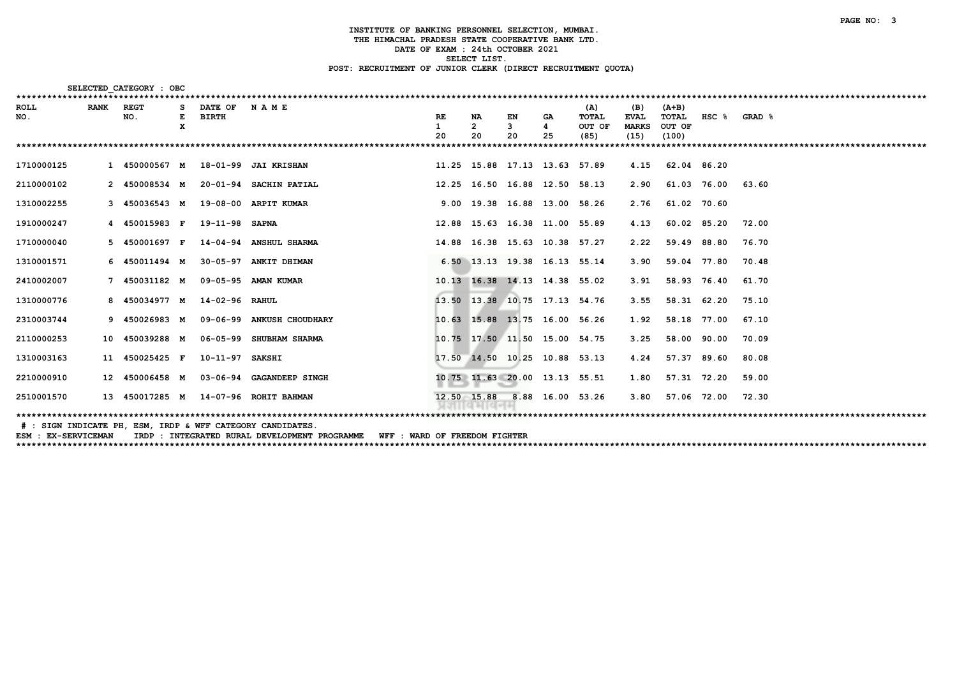| SELECTED CATEGORY : OBC<br>******************************* |             |                |        |                 |                                      |           |         |                               |         |                        |                             |                  |                  |        |
|------------------------------------------------------------|-------------|----------------|--------|-----------------|--------------------------------------|-----------|---------|-------------------------------|---------|------------------------|-----------------------------|------------------|------------------|--------|
| ROLL                                                       | <b>RANK</b> | <b>REGT</b>    |        | DATE OF         | <b>NAME</b>                          |           |         |                               |         | (A)                    | (B)                         | $(A+B)$          |                  |        |
| NO.                                                        |             | NO.            | Е<br>x | <b>BIRTH</b>    |                                      | <b>RE</b> | NA<br>2 | EN<br>3                       | GA<br>4 | <b>TOTAL</b><br>OUT OF | <b>EVAL</b><br><b>MARKS</b> | TOTAL<br>OUT OF  | HSC <sub>8</sub> | GRAD & |
|                                                            |             |                |        |                 |                                      | 20        | 20      | 20                            | 25      | (85)                   | (15)                        | (100)            |                  |        |
|                                                            |             |                |        |                 |                                      |           |         |                               |         | *********              |                             |                  |                  |        |
| 1710000125                                                 |             |                |        |                 | 1 450000567 M 18-01-99 JAI KRISHAN   |           |         | 11.25 15.88 17.13 13.63 57.89 |         |                        | 4.15                        | 62.04 86.20      |                  |        |
| 2110000102                                                 |             | 2 450008534 M  |        |                 | 20-01-94 SACHIN PATIAL               |           |         | 12.25 16.50 16.88 12.50 58.13 |         |                        | 2.90                        |                  | 61.03 76.00      | 63.60  |
| 1310002255                                                 |             | 3 450036543 M  |        |                 | 19-08-00 ARPIT KUMAR                 |           |         | 9.00 19.38 16.88 13.00 58.26  |         |                        | 2.76                        | 61.02 70.60      |                  |        |
| 1910000247                                                 |             | 4 450015983 F  |        | 19-11-98 SAPNA  |                                      |           |         | 12.88 15.63 16.38 11.00 55.89 |         |                        | 4.13                        | 60.02 85.20      |                  | 72.00  |
| 1710000040                                                 |             | 5 450001697 F  |        |                 | 14-04-94 ANSHUL SHARMA               |           |         | 14.88 16.38 15.63 10.38 57.27 |         |                        | 2.22                        | 59.49 88.80      |                  | 76.70  |
| 1310001571                                                 |             | 6 450011494 M  |        |                 | 30-05-97 ANKIT DHIMAN                |           |         | 6.50 13.13 19.38 16.13 55.14  |         |                        | 3.90                        | 59.04 77.80      |                  | 70.48  |
| 2410002007                                                 |             | 7 450031182 M  |        |                 | 09-05-95 AMAN KUMAR                  |           |         | 10.13 16.38 14.13 14.38 55.02 |         |                        | 3.91                        | 58.93 76.40      |                  | 61.70  |
| 1310000776                                                 |             | 8 450034977 M  |        | 14-02-96 RAHUL  |                                      |           |         | 13.50 13.38 10.75 17.13 54.76 |         |                        | 3.55                        | 58.31 62.20      |                  | 75.10  |
| 2310003744                                                 |             | 9 450026983 M  |        |                 | 09-06-99 ANKUSH CHOUDHARY            |           |         | 10.63 15.88 13.75 16.00 56.26 |         |                        | 1.92                        | 58.18 77.00      |                  | 67.10  |
| 2110000253                                                 |             | 10 450039288 M |        |                 | 06-05-99 SHUBHAM SHARMA              |           |         | 10.75 17.50 11.50 15.00 54.75 |         |                        | 3.25                        | 58.00 90.00      |                  | 70.09  |
| 1310003163                                                 |             | 450025425 F    |        | 10-11-97 SAKSHI |                                      |           |         | 17.50 14.50 10.25 10.88 53.13 |         |                        | 4.24                        | 57.37            | 89.60            | 80.08  |
| 2210000910                                                 |             | 12 450006458 M |        |                 | 03-06-94 GAGANDEEP SINGH             |           |         | 10.75 11.63 20.00 13.13 55.51 |         |                        | 1.80                        | 57.31 72.20      |                  | 59.00  |
| 2510001570                                                 |             |                |        |                 | 13 450017285 M 14-07-96 ROHIT BAHMAN |           |         | 12.50 15.88 8.88 16.00 53.26  |         |                        |                             | 3.80 57.06 72.00 |                  | 72.30  |
|                                                            |             |                |        |                 |                                      |           |         |                               |         |                        |                             |                  |                  |        |

# : SIGN INDICATE PH, ESM, IRDP & WFF CATEGORY CANDIDATES.

ESM: EX-SERVICEMAN TRDP: INTEGRATED RURAL DEVELOPMENT PROGRAMME WFF: WARD OF FREEDOM FIGHTER